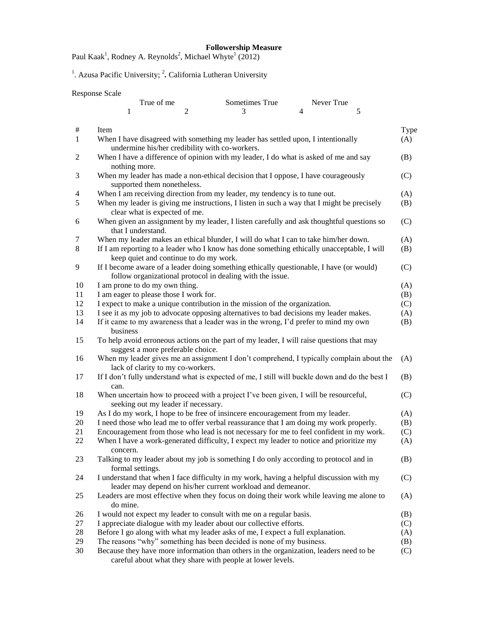True of me Sometimes True Never True

Paul Kaak<sup>1</sup>, Rodney A. Reynolds<sup>2</sup>, Michael Whyte<sup>1</sup> (2012)

<sup>1</sup>. Azusa Pacific University; <sup>2</sup>. California Lutheran University

Response Scale

|                | $\mathbf{1}$                                                                                                                                         | 2 | 3                                                           | $\overline{4}$ | 5 |      |
|----------------|------------------------------------------------------------------------------------------------------------------------------------------------------|---|-------------------------------------------------------------|----------------|---|------|
| #              | Item                                                                                                                                                 |   |                                                             |                |   | Type |
| $\mathbf{1}$   | When I have disagreed with something my leader has settled upon, I intentionally<br>undermine his/her credibility with co-workers.                   |   |                                                             |                |   | (A)  |
| $\overline{c}$ | When I have a difference of opinion with my leader, I do what is asked of me and say<br>nothing more.                                                |   |                                                             |                |   | (B)  |
| 3              | When my leader has made a non-ethical decision that I oppose, I have courageously<br>supported them nonetheless.                                     |   |                                                             |                |   | (C)  |
| 4              | When I am receiving direction from my leader, my tendency is to tune out.                                                                            |   |                                                             |                |   | (A)  |
| 5              | When my leader is giving me instructions, I listen in such a way that I might be precisely<br>clear what is expected of me.                          |   |                                                             |                |   | (B)  |
| 6              | When given an assignment by my leader, I listen carefully and ask thoughtful questions so<br>that I understand.                                      |   |                                                             |                |   | (C)  |
| 7              | When my leader makes an ethical blunder, I will do what I can to take him/her down.                                                                  |   |                                                             |                |   | (A)  |
| 8              | If I am reporting to a leader who I know has done something ethically unacceptable, I will<br>keep quiet and continue to do my work.                 |   |                                                             |                |   | (B)  |
| 9              | If I become aware of a leader doing something ethically questionable, I have (or would)<br>follow organizational protocol in dealing with the issue. |   |                                                             |                |   | (C)  |
| 10             | I am prone to do my own thing.                                                                                                                       |   |                                                             |                |   | (A)  |
| 11             | I am eager to please those I work for.                                                                                                               |   |                                                             |                |   | (B)  |
| 12             | I expect to make a unique contribution in the mission of the organization.                                                                           |   |                                                             |                |   | (C)  |
| 13             | I see it as my job to advocate opposing alternatives to bad decisions my leader makes.                                                               |   |                                                             |                |   | (A)  |
| 14             | If it came to my awareness that a leader was in the wrong, I'd prefer to mind my own<br>business                                                     |   |                                                             |                |   | (B)  |
| 15             | To help avoid erroneous actions on the part of my leader, I will raise questions that may<br>suggest a more preferable choice.                       |   |                                                             |                |   |      |
| 16             | When my leader gives me an assignment I don't comprehend, I typically complain about the<br>lack of clarity to my co-workers.                        |   |                                                             |                |   | (A)  |
| 17             | If I don't fully understand what is expected of me, I still will buckle down and do the best I<br>can.                                               |   |                                                             |                |   | (B)  |
| 18             | When uncertain how to proceed with a project I've been given, I will be resourceful,<br>seeking out my leader if necessary.                          |   |                                                             |                |   | (C)  |
| 19             | As I do my work, I hope to be free of insincere encouragement from my leader.                                                                        |   |                                                             |                |   | (A)  |
| 20             | I need those who lead me to offer verbal reassurance that I am doing my work properly.                                                               |   |                                                             |                |   | (B)  |
| 21             | Encouragement from those who lead is not necessary for me to feel confident in my work.                                                              |   |                                                             |                |   | (C)  |
| 22             | When I have a work-generated difficulty, I expect my leader to notice and prioritize my<br>concern.                                                  |   |                                                             |                |   | (A)  |
| 23             | Talking to my leader about my job is something I do only according to protocol and in<br>formal settings.                                            |   |                                                             |                |   | (B)  |
| 24             | I understand that when I face difficulty in my work, having a helpful discussion with my                                                             |   | leader may depend on his/her current workload and demeanor. |                |   | (C)  |
| 25             | Leaders are most effective when they focus on doing their work while leaving me alone to<br>do mine.                                                 |   |                                                             |                |   | (A)  |
| 26             | I would not expect my leader to consult with me on a regular basis.                                                                                  |   |                                                             |                |   | (B)  |
| 27             | I appreciate dialogue with my leader about our collective efforts.                                                                                   |   |                                                             |                |   | (C)  |
| $28\,$         | Before I go along with what my leader asks of me, I expect a full explanation.                                                                       |   |                                                             |                |   | (A)  |
| 29             | The reasons "why" something has been decided is none of my business.                                                                                 |   |                                                             |                |   | (B)  |
| 30             | Because they have more information than others in the organization, leaders need to be                                                               |   | careful about what they share with people at lower levels.  |                |   | (C)  |